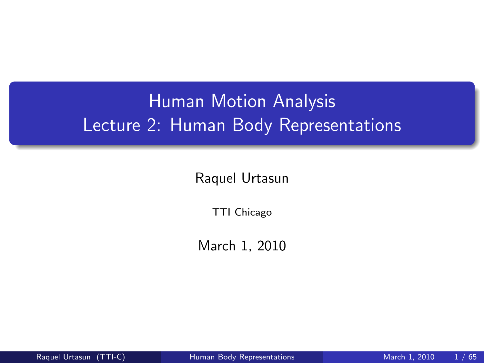# Human Motion Analysis Lecture 2: Human Body Representations

Raquel Urtasun

TTI Chicago

<span id="page-0-0"></span>March 1, 2010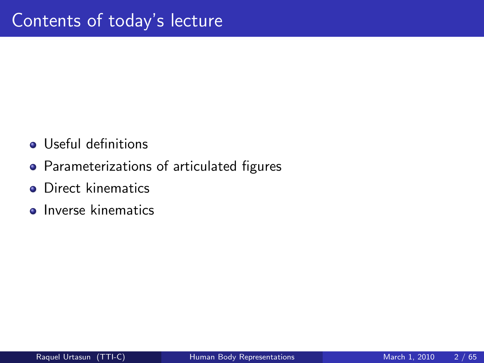- Useful definitions
- Parameterizations of articulated figures
- **•** Direct kinematics
- **o** Inverse kinematics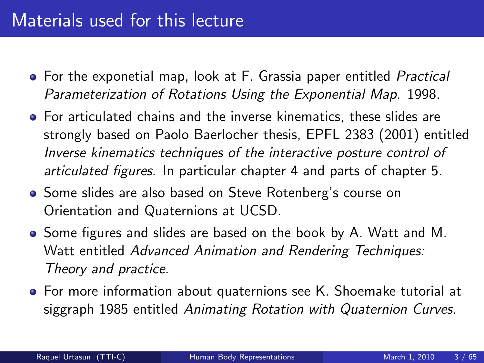## Materials used for this lecture

- **•** For the exponetial map, look at F. Grassia paper entitled *Practical* Parameterization of Rotations Using the Exponential Map. 1998.
- For articulated chains and the inverse kinematics, these slides are strongly based on Paolo Baerlocher thesis, EPFL 2383 (2001) entitled Inverse kinematics techniques of the interactive posture control of articulated figures. In particular chapter 4 and parts of chapter 5.
- Some slides are also based on Steve Rotenberg's course on Orientation and Quaternions at UCSD.
- Some figures and slides are based on the book by A. Watt and M. Watt entitled Advanced Animation and Rendering Techniques: Theory and practice.
- **•** For more information about quaternions see K. Shoemake tutorial at siggraph 1985 entitled Animating Rotation with Quaternion Curves.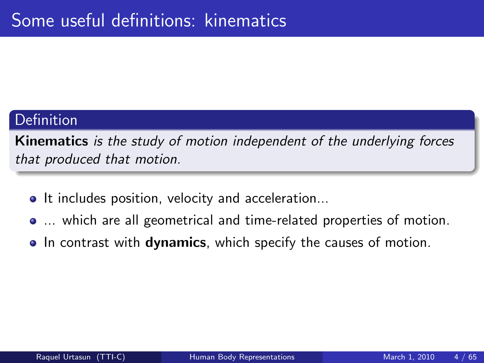#### **Definition**

Kinematics is the study of motion independent of the underlying forces that produced that motion.

- It includes position, velocity and acceleration...
- ... which are all geometrical and time-related properties of motion.
- In contrast with **dynamics**, which specify the causes of motion.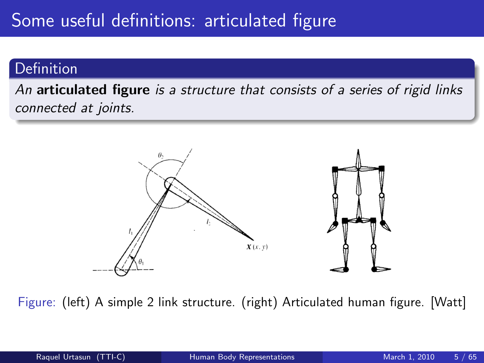# Some useful definitions: articulated figure

#### **Definition**

An articulated figure is a structure that consists of a series of rigid links connected at joints.



Figure: (left) A simple 2 link structure. (right) Articulated human figure. [Watt]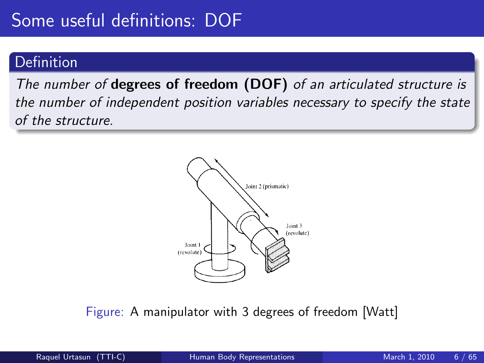#### Definition

The number of degrees of freedom (DOF) of an articulated structure is the number of independent position variables necessary to specify the state of the structure.



Figure: A manipulator with 3 degrees of freedom [Watt]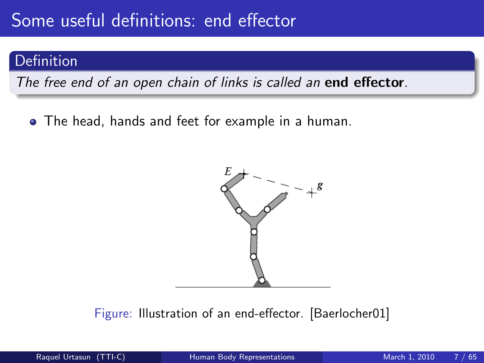# Some useful definitions: end effector

#### Definition

The free end of an open chain of links is called an **end effector**.

The head, hands and feet for example in a human.



Figure: Illustration of an end-effector. [Baerlocher01]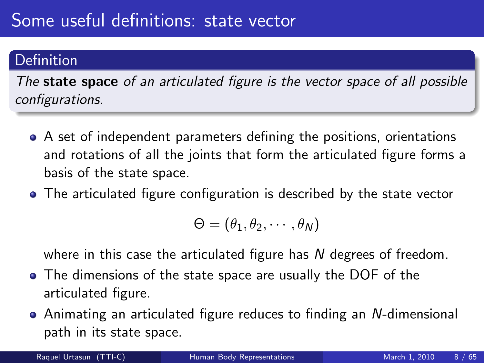#### Definition

The **state space** of an articulated figure is the vector space of all possible configurations.

- A set of independent parameters defining the positions, orientations and rotations of all the joints that form the articulated figure forms a basis of the state space.
- The articulated figure configuration is described by the state vector

$$
\Theta=(\theta_1,\theta_2,\cdots,\theta_N)
$$

where in this case the articulated figure has N degrees of freedom.

- The dimensions of the state space are usually the DOF of the articulated figure.
- Animating an articulated figure reduces to finding an N-dimensional path in its state space.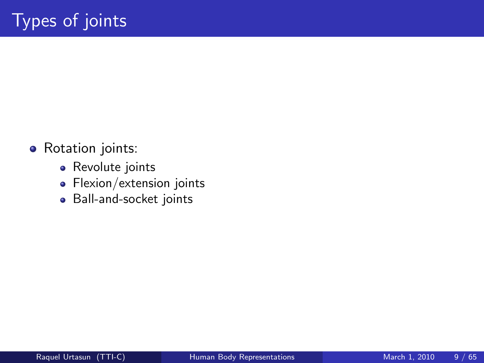- Rotation joints:
	- Revolute joints
	- Flexion/extension joints
	- Ball-and-socket joints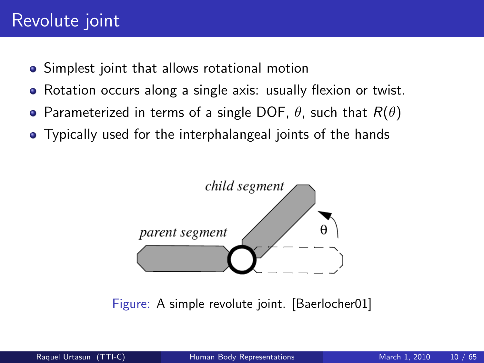# Revolute joint

- **•** Simplest joint that allows rotational motion
- Rotation occurs along a single axis: usually flexion or twist.
- Parameterized in terms of a single DOF,  $\theta$ , such that  $R(\theta)$
- Typically used for the interphalangeal joints of the hands



Figure: A simple revolute joint. [Baerlocher01]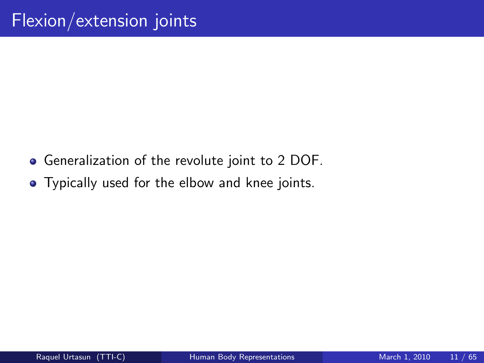- Generalization of the revolute joint to 2 DOF.
- Typically used for the elbow and knee joints.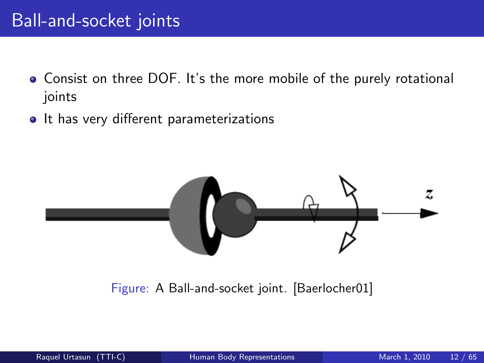## Ball-and-socket joints

- Consist on three DOF. It's the more mobile of the purely rotational joints
- It has very different parameterizations



Figure: A Ball-and-socket joint. [Baerlocher01]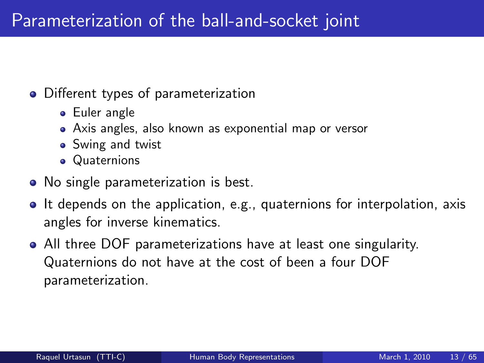#### • Different types of parameterization

- Euler angle
- Axis angles, also known as exponential map or versor
- Swing and twist
- **Quaternions**
- No single parameterization is best.
- It depends on the application, e.g., quaternions for interpolation, axis angles for inverse kinematics.
- All three DOF parameterizations have at least one singularity. Quaternions do not have at the cost of been a four DOF parameterization.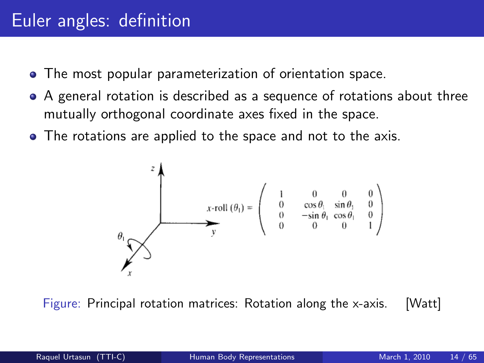- The most popular parameterization of orientation space.
- A general rotation is described as a sequence of rotations about three mutually orthogonal coordinate axes fixed in the space.
- The rotations are applied to the space and not to the axis.



Figure: Principal rotation matrices: Rotation along the x-axis. [Watt]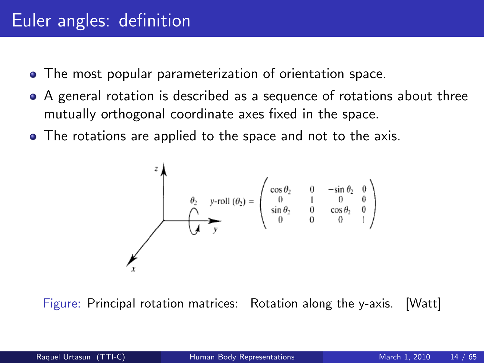- The most popular parameterization of orientation space.
- A general rotation is described as a sequence of rotations about three mutually orthogonal coordinate axes fixed in the space.
- The rotations are applied to the space and not to the axis.

$$
\theta_2 \quad y\text{-roll} \ (\theta_2) = \begin{pmatrix} \cos \theta_2 & 0 & -\sin \theta_2 & 0 \\ 0 & 1 & 0 & 0 \\ \sin \theta_2 & 0 & \cos \theta_2 & 0 \\ 0 & 0 & 0 & 1 \end{pmatrix}
$$

Figure: Principal rotation matrices: Rotation along the y-axis. [Watt]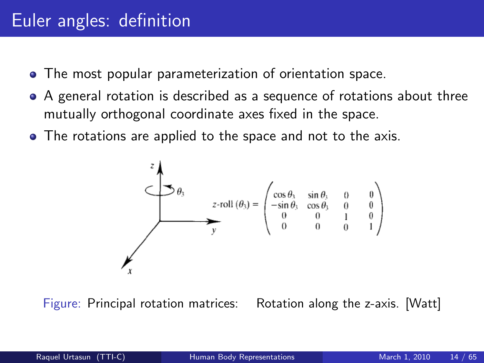- The most popular parameterization of orientation space.
- A general rotation is described as a sequence of rotations about three mutually orthogonal coordinate axes fixed in the space.
- The rotations are applied to the space and not to the axis.



Figure: Principal rotation matrices: Rotation along the z-axis. [Watt]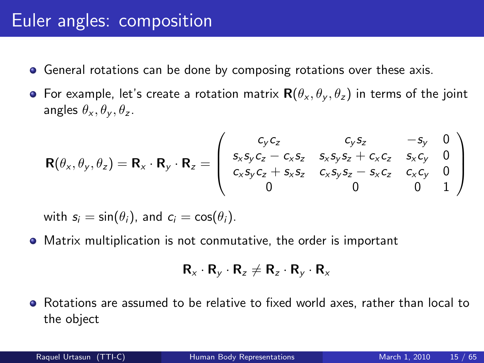#### Euler angles: composition

- **•** General rotations can be done by composing rotations over these axis.
- For example, let's create a rotation matrix  $\mathbf{R}(\theta_{x}, \theta_{y}, \theta_{z})$  in terms of the joint angles  $\theta_x, \theta_y, \theta_z$ .

$$
\mathbf{R}(\theta_x, \theta_y, \theta_z) = \mathbf{R}_x \cdot \mathbf{R}_y \cdot \mathbf{R}_z = \begin{pmatrix} c_y c_z & c_y s_z & -s_y & 0 \\ s_x s_y c_z - c_x s_z & s_x s_y s_z + c_x c_z & s_x c_y & 0 \\ c_x s_y c_z + s_x s_z & c_x s_y s_z - s_x c_z & c_x c_y & 0 \\ 0 & 0 & 0 & 1 \end{pmatrix}
$$

with  $s_i = \sin(\theta_i)$ , and  $c_i = \cos(\theta_i)$ .

Matrix multiplication is not conmutative, the order is important

$$
\mathbf{R}_{x}\cdot\mathbf{R}_{y}\cdot\mathbf{R}_{z}\neq\mathbf{R}_{z}\cdot\mathbf{R}_{y}\cdot\mathbf{R}_{x}
$$

Rotations are assumed to be relative to fixed world axes, rather than local to the object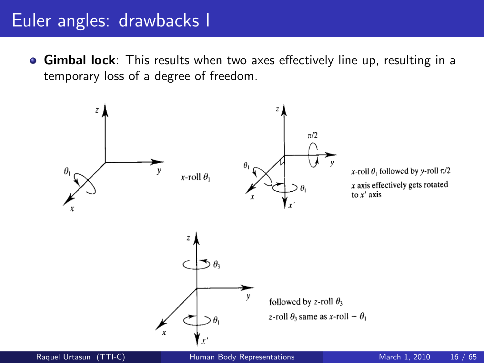#### Euler angles: drawbacks I

**Gimbal lock**: This results when two axes effectively line up, resulting in a temporary loss of a degree of freedom.

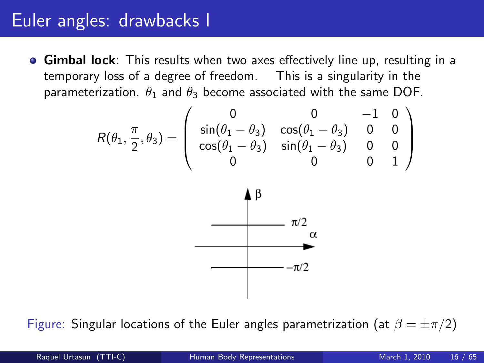## Euler angles: drawbacks I

**Gimbal lock**: This results when two axes effectively line up, resulting in a temporary loss of a degree of freedom. This is a singularity in the parameterization.  $\theta_1$  and  $\theta_3$  become associated with the same DOF.

$$
R(\theta_1, \frac{\pi}{2}, \theta_3) = \left( \begin{array}{cccc} 0 & 0 & -1 & 0 \\ \sin(\theta_1 - \theta_3) & \cos(\theta_1 - \theta_3) & 0 & 0 \\ \cos(\theta_1 - \theta_3) & \sin(\theta_1 - \theta_3) & 0 & 0 \\ 0 & 0 & 0 & 1 \end{array} \right)
$$



Figure: Singular locations of the Euler angles parametrization (at  $\beta = \pm \pi/2$ )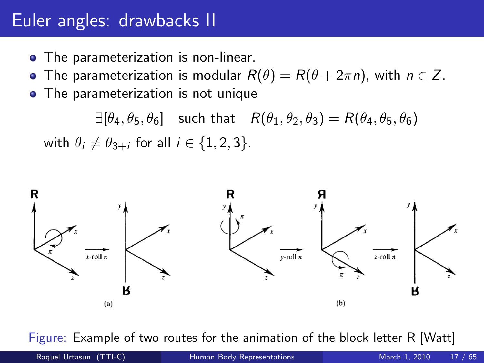## Euler angles: drawbacks II

- The parameterization is non-linear.
- The parameterization is modular  $R(\theta) = R(\theta + 2\pi n)$ , with  $n \in \mathbb{Z}$ .
- The parameterization is not unique

 $\exists [\theta_4, \theta_5, \theta_6]$  such that  $R(\theta_1, \theta_2, \theta_3) = R(\theta_4, \theta_5, \theta_6)$ with  $\theta_i \neq \theta_{3+i}$  for all  $i \in \{1,2,3\}$ .



Figure: Example of two routes for the animation of the block letter R [Watt]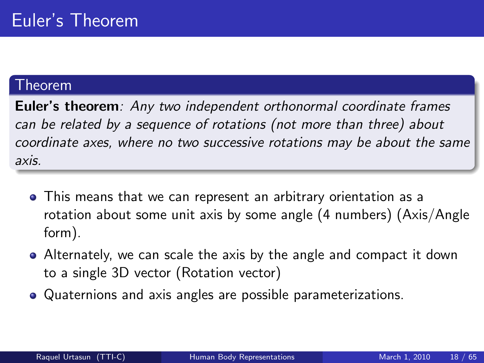#### Theorem

Euler's theorem: Any two independent orthonormal coordinate frames can be related by a sequence of rotations (not more than three) about coordinate axes, where no two successive rotations may be about the same axis.

- This means that we can represent an arbitrary orientation as a rotation about some unit axis by some angle (4 numbers) (Axis/Angle form).
- Alternately, we can scale the axis by the angle and compact it down to a single 3D vector (Rotation vector)
- Quaternions and axis angles are possible parameterizations.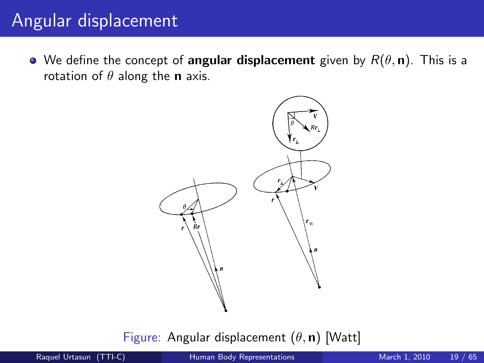## Angular displacement

• We define the concept of angular displacement given by  $R(\theta, n)$ . This is a rotation of  $\theta$  along the **n** axis.



Figure: Angular displacement  $(\theta, n)$  [Watt]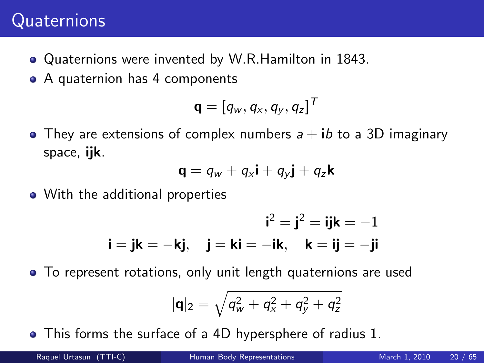# **Quaternions**

- Quaternions were invented by W.R.Hamilton in 1843.
- A quaternion has 4 components

$$
\mathbf{q} = [q_w, q_x, q_y, q_z]^T
$$

• They are extensions of complex numbers  $a + ib$  to a 3D imaginary space, ijk.

$$
\mathbf{q} = q_w + q_x \mathbf{i} + q_y \mathbf{j} + q_z \mathbf{k}
$$

• With the additional properties

$$
\mathbf{i}^2 = \mathbf{j}^2 = \mathbf{i}\mathbf{j}\mathbf{k} = -1
$$

$$
\mathbf{i} = \mathbf{j}\mathbf{k} = -\mathbf{k}\mathbf{j}, \quad \mathbf{j} = \mathbf{k}\mathbf{i} = -\mathbf{i}\mathbf{k}, \quad \mathbf{k} = \mathbf{i}\mathbf{j} = -\mathbf{j}\mathbf{i}
$$

To represent rotations, only unit length quaternions are used

$$
|{\bf q}|_2=\sqrt{q_{\rm w}^2+q_{\rm x}^2+q_{\rm y}^2+q_{\rm z}^2}
$$

This forms the surface of a 4D hypersphere of radius 1.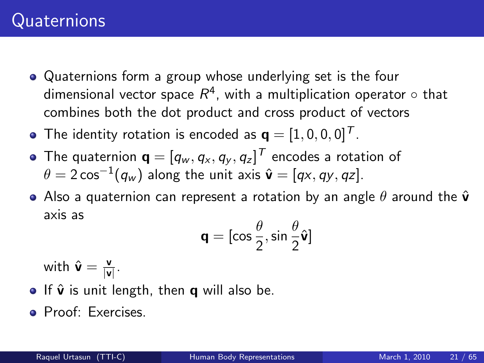- Quaternions form a group whose underlying set is the four dimensional vector space  $R^4$ , with a multiplication operator  $\circ$  that combines both the dot product and cross product of vectors
- The identity rotation is encoded as  $\mathbf{q} = \begin{bmatrix} 1, 0, 0, 0 \end{bmatrix}^T$ .
- The quaternion  $\mathbf{q}=[q_{w},q_{x},q_{y},q_{z}]^{T}$  encodes a rotation of  $\theta=2\cos^{-1}(q_w)$  along the unit axis  $\hat{\bm{\mathsf{v}}}=[q\mathsf{x},q\mathsf{y},q\mathsf{z}].$
- Also a quaternion can represent a rotation by an angle  $\theta$  around the  $\hat{\mathbf{v}}$ axis as

$$
\mathbf{q} = [\cos\frac{\theta}{2}, \sin\frac{\theta}{2}\hat{\mathbf{v}}]
$$

with  $\hat{\mathbf{v}} = \frac{\mathbf{v}}{|\mathbf{v}|}$  $\frac{\mathsf{v}}{|\mathsf{v}|}$  .

- $\bullet$  If  $\hat{\mathbf{v}}$  is unit length, then **q** will also be.
- Proof: Exercises.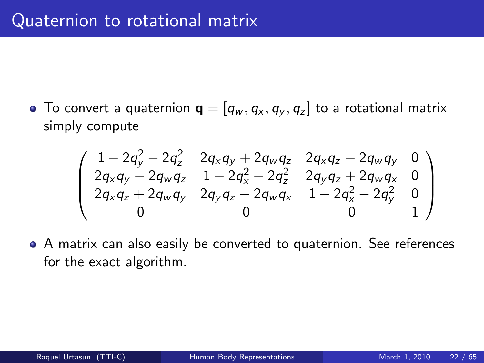• To convert a quaternion  $\mathbf{q} = [q_w, q_x, q_y, q_z]$  to a rotational matrix simply compute

$$
\left(\begin{array}{cccc}1-2q_y^2-2q_z^2&2q_xq_y+2q_wq_z&2q_xq_z-2q_wq_y&0\\2q_xq_y-2q_wq_z&1-2q_x^2-2q_z^2&2q_yq_z+2q_wq_x&0\\2q_xq_z+2q_wq_y&2q_yq_z-2q_wq_x&1-2q_x^2-2q_y^2&0\\0&0&0&1\end{array}\right)
$$

A matrix can also easily be converted to quaternion. See references for the exact algorithm.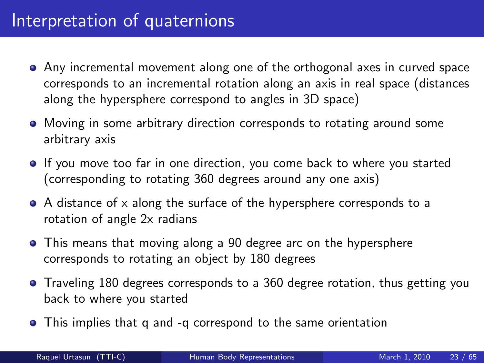- Any incremental movement along one of the orthogonal axes in curved space corresponds to an incremental rotation along an axis in real space (distances along the hypersphere correspond to angles in 3D space)
- Moving in some arbitrary direction corresponds to rotating around some arbitrary axis
- If you move too far in one direction, you come back to where you started (corresponding to rotating 360 degrees around any one axis)
- A distance of x along the surface of the hypersphere corresponds to a rotation of angle 2x radians
- This means that moving along a 90 degree arc on the hypersphere corresponds to rotating an object by 180 degrees
- Traveling 180 degrees corresponds to a 360 degree rotation, thus getting you back to where you started
- This implies that q and -q correspond to the same orientation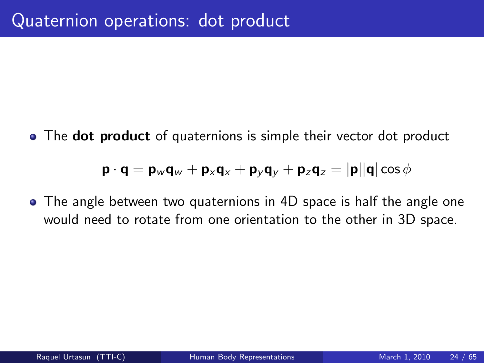• The **dot product** of quaternions is simple their vector dot product

$$
\mathbf{p} \cdot \mathbf{q} = \mathbf{p}_w \mathbf{q}_w + \mathbf{p}_x \mathbf{q}_x + \mathbf{p}_y \mathbf{q}_y + \mathbf{p}_z \mathbf{q}_z = |\mathbf{p}||\mathbf{q}| \cos \phi
$$

The angle between two quaternions in 4D space is half the angle one would need to rotate from one orientation to the other in 3D space.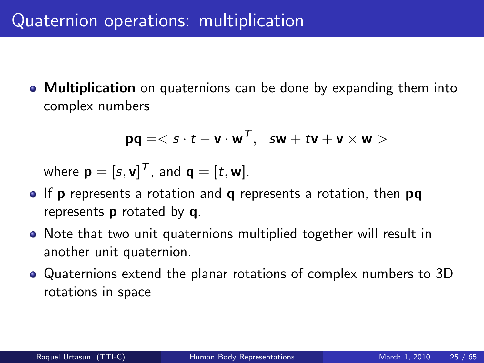• Multiplication on quaternions can be done by expanding them into complex numbers

$$
\mathsf{p}\mathsf{q} = <\mathsf{s}\cdot t - \mathsf{v}\cdot \mathsf{w}^\mathsf{T},\;\;\mathsf{s}\mathsf{w} + t\mathsf{v} + \mathsf{v}\times \mathsf{w}>
$$

where  $\mathbf{p}=[s,\mathsf{v}]^{\textsf{T}}$ , and  $\mathbf{q}=[t,\mathsf{w}]$ .

- $\bullet$  If p represents a rotation and q represents a rotation, then pq represents p rotated by q.
- Note that two unit quaternions multiplied together will result in another unit quaternion.
- Quaternions extend the planar rotations of complex numbers to 3D rotations in space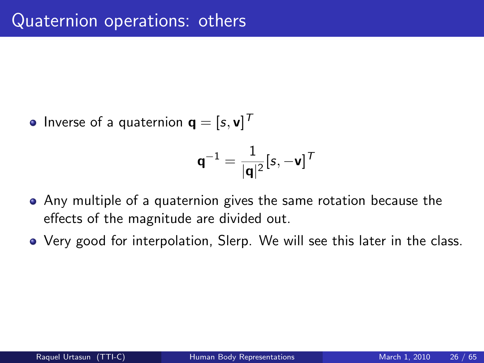Inverse of a quaternion  $\mathbf{q}=[s,\mathbf{v}]^T$ 

$$
\textbf{q}^{-1} = \frac{1}{|\textbf{q}|^2} [\textbf{s}, -\textbf{v}]^{\mathsf{T}}
$$

- Any multiple of a quaternion gives the same rotation because the effects of the magnitude are divided out.
- Very good for interpolation, Slerp. We will see this later in the class.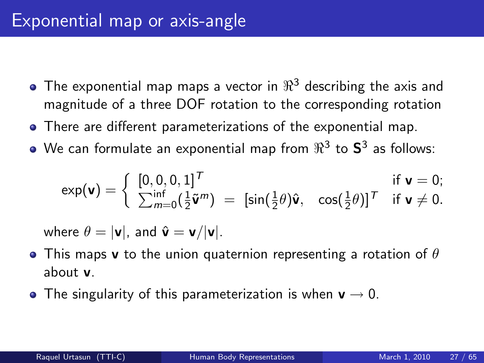- The exponential map maps a vector in  $\Re^3$  describing the axis and magnitude of a three DOF rotation to the corresponding rotation
- There are different parameterizations of the exponential map.
- We can formulate an exponential map from  $\Re^3$  to  ${\sf S}^3$  as follows:

$$
\exp(\mathbf{v}) = \begin{cases} [0,0,0,1]^T & \text{if } \mathbf{v} = 0; \\ \sum_{m=0}^{\inf} (\frac{1}{2} \tilde{\mathbf{v}}^m) = [\sin(\frac{1}{2}\theta)\hat{\mathbf{v}}, \cos(\frac{1}{2}\theta)]^T & \text{if } \mathbf{v} \neq 0. \end{cases}
$$

where  $\theta = |v|$ , and  $\hat{v} = v/|v|$ .

- This maps **v** to the union quaternion representing a rotation of  $\theta$ about v.
- The singularity of this parameterization is when  $v \rightarrow 0$ .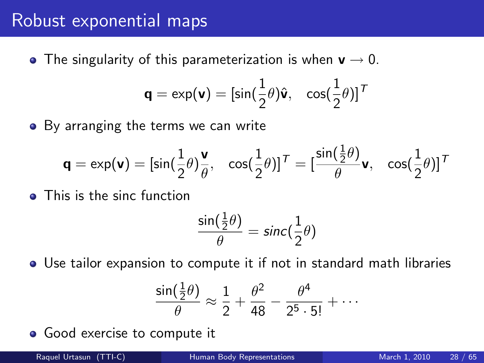#### Robust exponential maps

• The singularity of this parameterization is when  $v \rightarrow 0$ .

$$
\mathbf{q} = \exp(\mathbf{v}) = [\sin(\frac{1}{2}\theta)\hat{\mathbf{v}}, \quad \cos(\frac{1}{2}\theta)]^T
$$

• By arranging the terms we can write

$$
\mathbf{q} = \exp(\mathbf{v}) = [\sin(\frac{1}{2}\theta)\frac{\mathbf{v}}{\theta}, \quad \cos(\frac{1}{2}\theta)]^T = [\frac{\sin(\frac{1}{2}\theta)}{\theta}\mathbf{v}, \quad \cos(\frac{1}{2}\theta)]^T
$$

**o** This is the sinc function

$$
\frac{\sin(\frac{1}{2}\theta)}{\theta} = \text{sinc}(\frac{1}{2}\theta)
$$

Use tailor expansion to compute it if not in standard math libraries

$$
\frac{\sin(\frac{1}{2}\theta)}{\theta} \approx \frac{1}{2} + \frac{\theta^2}{48} - \frac{\theta^4}{2^5 \cdot 5!} + \cdots
$$

• Good exercise to compute it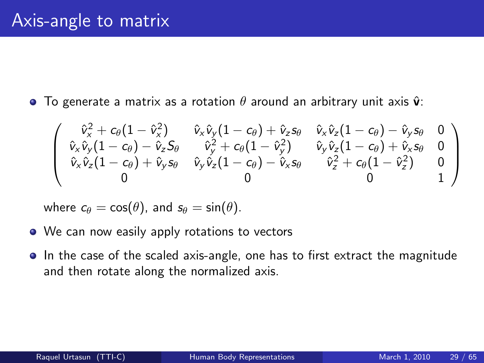**To generate a matrix as a rotation**  $\theta$  **around an arbitrary unit axis**  $\hat{\mathbf{v}}$ **:** 

$$
\left(\begin{array}{ccc} \hat{v}_x^2+c_\theta(1-\hat{v}_x^2) & \hat{v}_x\hat{v}_y(1-c_\theta)+\hat{v}_z s_\theta & \hat{v}_x\hat{v}_z(1-c_\theta)-\hat{v}_y s_\theta & 0\\ \hat{v}_x\hat{v}_y(1-c_\theta)-\hat{v}_z S_\theta & \hat{v}_y^2+c_\theta(1-\hat{v}_y^2) & \hat{v}_y\hat{v}_z(1-c_\theta)+\hat{v}_x s_\theta & 0\\ \hat{v}_x\hat{v}_z(1-c_\theta)+\hat{v}_y s_\theta & \hat{v}_y\hat{v}_z(1-c_\theta)-\hat{v}_x s_\theta & \hat{v}_z^2+c_\theta(1-\hat{v}_z^2) & 0\\ 0 & 0 & 0 & 1 \end{array}\right)
$$

where  $c_{\theta} = \cos(\theta)$ , and  $s_{\theta} = \sin(\theta)$ .

- We can now easily apply rotations to vectors
- In the case of the scaled axis-angle, one has to first extract the magnitude and then rotate along the normalized axis.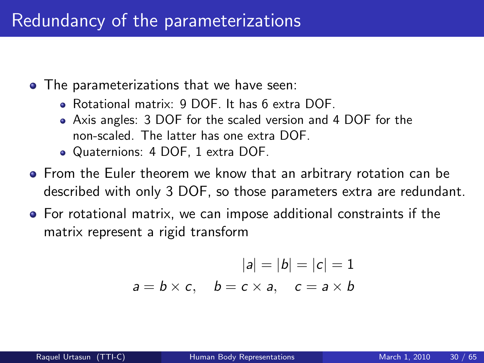- The parameterizations that we have seen:
	- Rotational matrix: 9 DOF. It has 6 extra DOF.
	- Axis angles: 3 DOF for the scaled version and 4 DOF for the non-scaled. The latter has one extra DOF.
	- Quaternions: 4 DOF, 1 extra DOF.
- **•** From the Euler theorem we know that an arbitrary rotation can be described with only 3 DOF, so those parameters extra are redundant.
- For rotational matrix, we can impose additional constraints if the matrix represent a rigid transform

$$
|a| = |b| = |c| = 1
$$
  

$$
a = b \times c, \quad b = c \times a, \quad c = a \times b
$$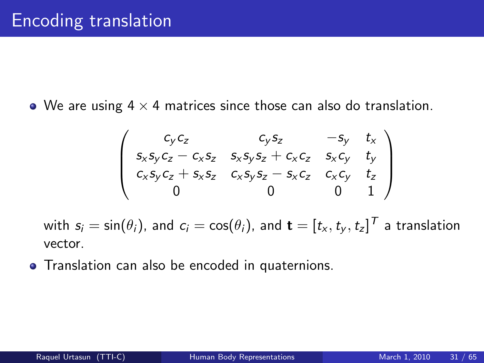• We are using  $4 \times 4$  matrices since those can also do translation.

$$
\begin{pmatrix} c_y c_z & c_y s_z & -s_y & t_x \ s_x s_y c_z - c_x s_z & s_x s_y s_z + c_x c_z & s_x c_y & t_y \ c_x s_y c_z + s_x s_z & c_x s_y s_z - s_x c_z & c_x c_y & t_z \ 0 & 0 & 0 & 1 \end{pmatrix}
$$

with  $s_i = \sin(\theta_i)$ , and  $c_i = \cos(\theta_i)$ , and  $\mathbf{t} = [t_\mathsf{x}, t_\mathsf{y}, t_\mathsf{z}]^{\textstyle \top}$  a translation vector.

**•** Translation can also be encoded in quaternions.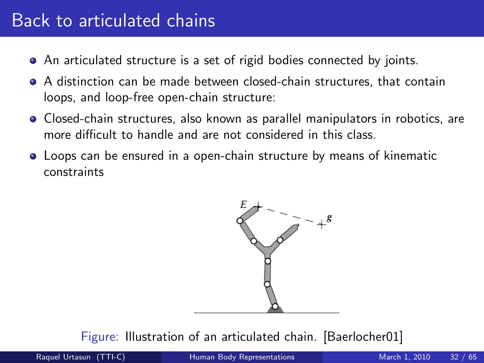## Back to articulated chains

- An articulated structure is a set of rigid bodies connected by joints.
- A distinction can be made between closed-chain structures, that contain loops, and loop-free open-chain structure:
- **•** Closed-chain structures, also known as parallel manipulators in robotics, are more difficult to handle and are not considered in this class.
- Loops can be ensured in a open-chain structure by means of kinematic constraints



Figure: Illustration of an articulated chain. [Baerlocher01]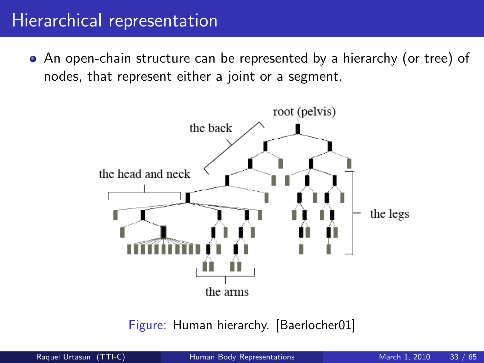#### Hierarchical representation

An open-chain structure can be represented by a hierarchy (or tree) of nodes, that represent either a joint or a segment.



Figure: Human hierarchy. [Baerlocher01]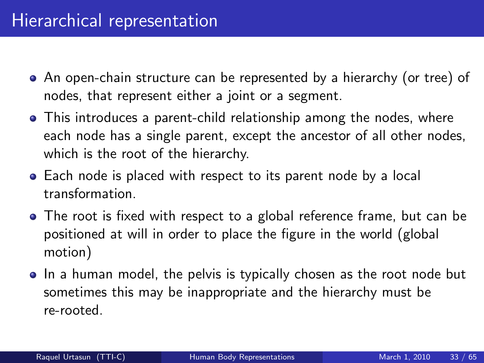- An open-chain structure can be represented by a hierarchy (or tree) of nodes, that represent either a joint or a segment.
- This introduces a parent-child relationship among the nodes, where each node has a single parent, except the ancestor of all other nodes, which is the root of the hierarchy.
- Each node is placed with respect to its parent node by a local transformation.
- The root is fixed with respect to a global reference frame, but can be positioned at will in order to place the figure in the world (global motion)
- In a human model, the pelvis is typically chosen as the root node but sometimes this may be inappropriate and the hierarchy must be re-rooted.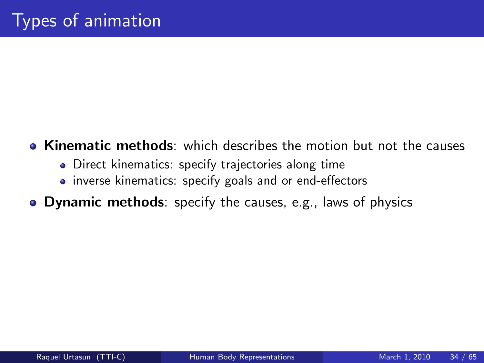- **EXIDED** Kinematic methods: which describes the motion but not the causes
	- Direct kinematics: specify trajectories along time
	- inverse kinematics: specify goals and or end-effectors
- **Dynamic methods**: specify the causes, e.g., laws of physics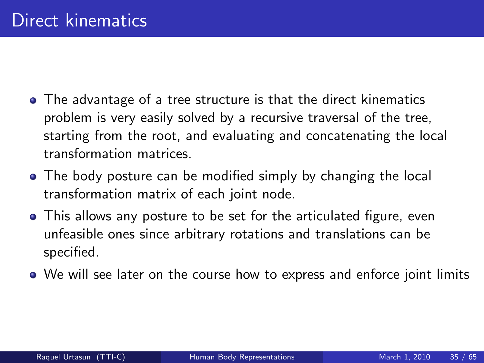- The advantage of a tree structure is that the direct kinematics problem is very easily solved by a recursive traversal of the tree, starting from the root, and evaluating and concatenating the local transformation matrices.
- The body posture can be modified simply by changing the local transformation matrix of each joint node.
- This allows any posture to be set for the articulated figure, even unfeasible ones since arbitrary rotations and translations can be specified.
- We will see later on the course how to express and enforce joint limits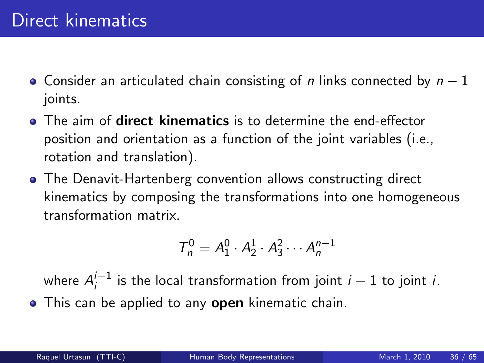- Consider an articulated chain consisting of n links connected by  $n-1$ joints.
- **•** The aim of **direct kinematics** is to determine the end-effector position and orientation as a function of the joint variables (i.e., rotation and translation).
- The Denavit-Hartenberg convention allows constructing direct kinematics by composing the transformations into one homogeneous transformation matrix.

$$
T_n^0 = A_1^0 \cdot A_2^1 \cdot A_3^2 \cdots A_n^{n-1}
$$

where  $A_i^{i-1}$  $i_j^{-1}$  is the local transformation from joint  $i-1$  to joint  $i$ . • This can be applied to any open kinematic chain.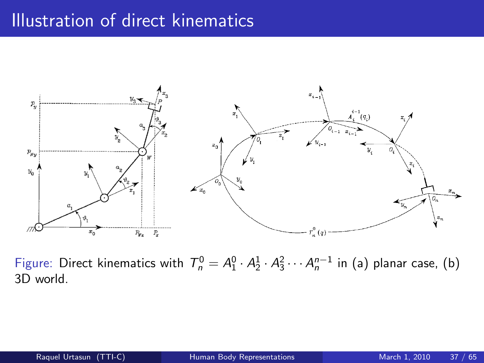## Illustration of direct kinematics



Figure: Direct kinematics with  $T_n^0 = A_1^0 \cdot A_2^1 \cdot A_3^2 \cdots A_n^{n-1}$  in (a) planar case, (b) 3D world.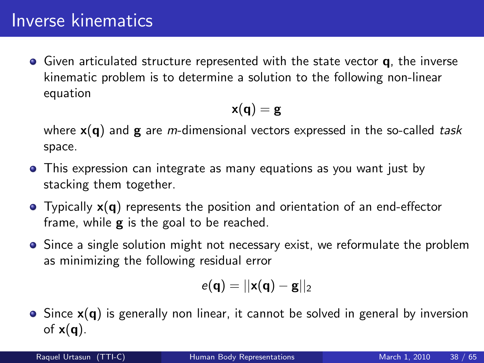## Inverse kinematics

 $\bullet$  Given articulated structure represented with the state vector **q**, the inverse kinematic problem is to determine a solution to the following non-linear equation

$$
\mathbf{x}(\mathbf{q}) = \mathbf{g}
$$

where  $x(q)$  and g are *m*-dimensional vectors expressed in the so-called task space.

- This expression can integrate as many equations as you want just by stacking them together.
- $\bullet$  Typically  $x(q)$  represents the position and orientation of an end-effector frame, while  $g$  is the goal to be reached.
- Since a single solution might not necessary exist, we reformulate the problem as minimizing the following residual error

$$
e(\mathbf{q})=||\mathbf{x}(\mathbf{q})-\mathbf{g}||_2
$$

 $\bullet$  Since  $x(q)$  is generally non linear, it cannot be solved in general by inversion of  $x(q)$ .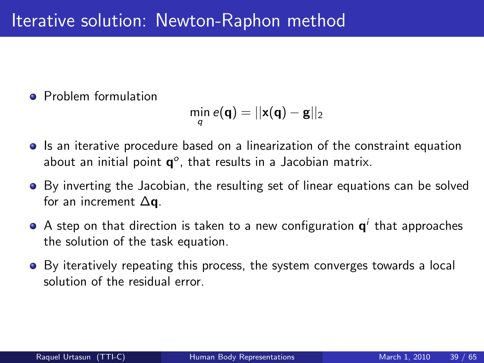**Problem formulation** 

$$
\min_q e(\mathbf{q}) = ||\mathbf{x}(\mathbf{q}) - \mathbf{g}||_2
$$

- **In** Is an iterative procedure based on a linearization of the constraint equation about an initial point  $\mathbf{q}^o$ , that results in a Jacobian matrix.
- By inverting the Jacobian, the resulting set of linear equations can be solved for an increment  $\Delta$ q.
- A step on that direction is taken to a new configuration  $\mathsf{q}^i$  that approaches the solution of the task equation.
- By iteratively repeating this process, the system converges towards a local solution of the residual error.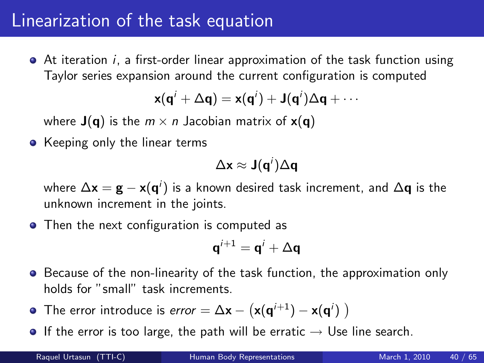#### Linearization of the task equation

At iteration i, a first-order linear approximation of the task function using Taylor series expansion around the current configuration is computed

$$
x(q^{i} + \Delta q) = x(q^{i}) + J(q^{i})\Delta q + \cdots
$$

where  $J(q)$  is the  $m \times n$  Jacobian matrix of  $x(q)$ 

• Keeping only the linear terms

$$
\Delta \mathbf{x} \approx \mathbf{J}(\mathbf{q}^i) \Delta \mathbf{q}
$$

where  $\Delta {\mathbf x}={\mathbf g} - {\mathbf x}({\mathbf q}^i)$  is a known desired task increment, and  $\Delta {\mathbf q}$  is the unknown increment in the joints.

• Then the next configuration is computed as

$$
\mathbf{q}^{i+1} = \mathbf{q}^i + \Delta \mathbf{q}
$$

- **•** Because of the non-linearity of the task function, the approximation only holds for "small" task increments.
- The error introduce is  $error = \Delta x (x(q^{i+1}) x(q^i))$
- **•** If the error is too large, the path will be erratic  $\rightarrow$  Use line search.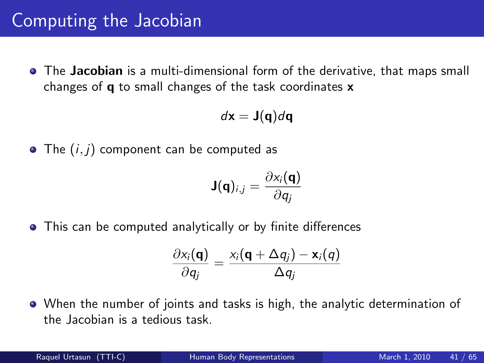**•** The **Jacobian** is a multi-dimensional form of the derivative, that maps small changes of q to small changes of the task coordinates x

$$
d\mathbf{x} = \mathbf{J}(\mathbf{q})d\mathbf{q}
$$

 $\bullet$  The  $(i, j)$  component can be computed as

$$
\mathbf{J}(\mathbf{q})_{i,j} = \frac{\partial x_i(\mathbf{q})}{\partial q_j}
$$

This can be computed analytically or by finite differences

$$
\frac{\partial x_i(\mathbf{q})}{\partial q_j} = \frac{x_i(\mathbf{q} + \Delta q_j) - \mathbf{x}_i(q)}{\Delta q_j}
$$

When the number of joints and tasks is high, the analytic determination of the Jacobian is a tedious task.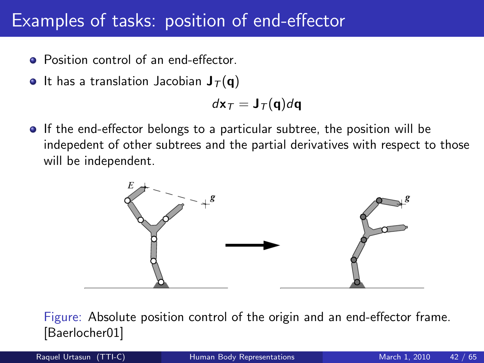#### Examples of tasks: position of end-effector

- Position control of an end-effector.
- It has a translation Jacobian  $J_{\tau}(\mathbf{q})$

$$
d\mathbf{x}_T = \mathbf{J}_T(\mathbf{q})d\mathbf{q}
$$

If the end-effector belongs to a particular subtree, the position will be indepedent of other subtrees and the partial derivatives with respect to those will be independent.



Figure: Absolute position control of the origin and an end-effector frame. [Baerlocher01]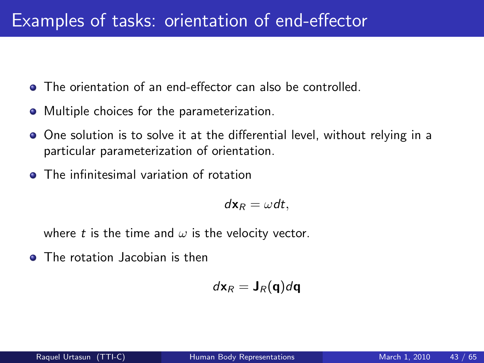- **The orientation of an end-effector can also be controlled.**
- Multiple choices for the parameterization.
- One solution is to solve it at the differential level, without relying in a particular parameterization of orientation.
- **•** The infinitesimal variation of rotation

$$
d\mathbf{x}_R = \omega dt,
$$

where t is the time and  $\omega$  is the velocity vector.

**O** The rotation Jacobian is then

$$
d\mathbf{x}_R = \mathbf{J}_R(\mathbf{q})d\mathbf{q}
$$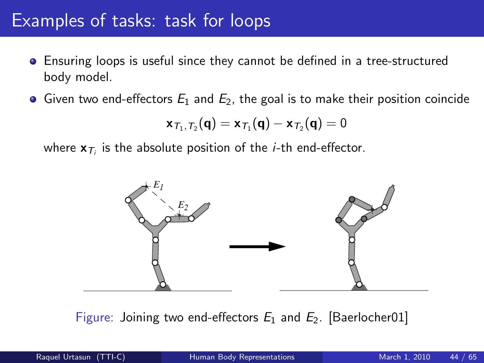#### Examples of tasks: task for loops

- Ensuring loops is useful since they cannot be defined in a tree-structured body model.
- Given two end-effectors  $E_1$  and  $E_2$ , the goal is to make their position coincide

$$
\boldsymbol{x}_{\mathcal{T}_1,\mathcal{T}_2}(\boldsymbol{q})=\boldsymbol{x}_{\mathcal{T}_1}(\boldsymbol{q})-\boldsymbol{x}_{\mathcal{T}_2}(\boldsymbol{q})=0
$$

where  $\mathbf{x}_{\mathcal{T}_i}$  is the absolute position of the *i*-th end-effector.



Figure: Joining two end-effectors  $E_1$  and  $E_2$ . [Baerlocher01]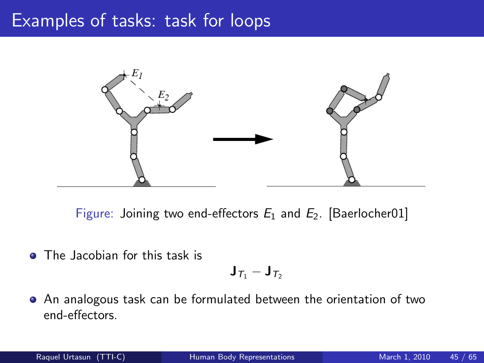#### Examples of tasks: task for loops



Figure: Joining two end-effectors  $E_1$  and  $E_2$ . [Baerlocher01]

**O** The Jacobian for this task is

$$
\mathbf{J}_{\mathcal{T}_1}-\mathbf{J}_{\mathcal{T}_2}
$$

An analogous task can be formulated between the orientation of two end-effectors.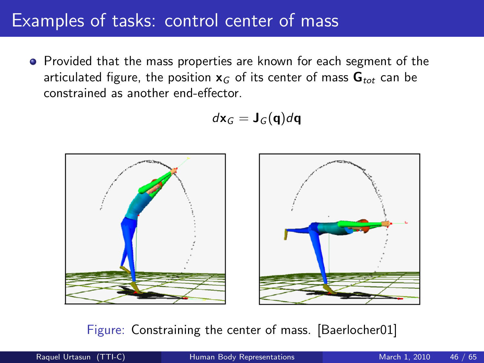#### Examples of tasks: control center of mass

**•** Provided that the mass properties are known for each segment of the articulated figure, the position  $x_G$  of its center of mass  $G_{tot}$  can be constrained as another end-effector.

$$
d\mathbf{x}_G = \mathbf{J}_G(\mathbf{q})d\mathbf{q}
$$



#### Figure: Constraining the center of mass. [Baerlocher01]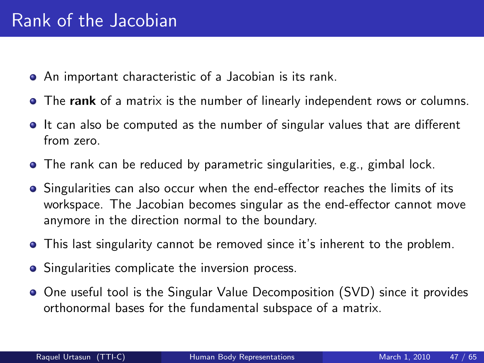- An important characteristic of a Jacobian is its rank.
- The rank of a matrix is the number of linearly independent rows or columns.
- If can also be computed as the number of singular values that are different from zero.
- **•** The rank can be reduced by parametric singularities, e.g., gimbal lock.
- **Singularities can also occur when the end-effector reaches the limits of its** workspace. The Jacobian becomes singular as the end-effector cannot move anymore in the direction normal to the boundary.
- This last singularity cannot be removed since it's inherent to the problem.
- Singularities complicate the inversion process.
- One useful tool is the Singular Value Decomposition (SVD) since it provides orthonormal bases for the fundamental subspace of a matrix.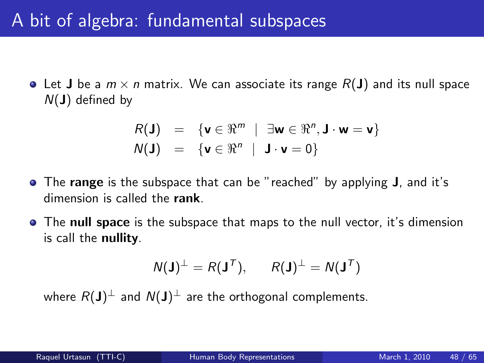# A bit of algebra: fundamental subspaces

• Let **J** be a  $m \times n$  matrix. We can associate its range  $R(\bf{J})$  and its null space  $N(\mathbf{J})$  defined by

$$
R(\mathbf{J}) = \{ \mathbf{v} \in \mathbb{R}^m \mid \exists \mathbf{w} \in \mathbb{R}^n, \mathbf{J} \cdot \mathbf{w} = \mathbf{v} \}
$$
  

$$
N(\mathbf{J}) = \{ \mathbf{v} \in \mathbb{R}^n \mid \mathbf{J} \cdot \mathbf{v} = 0 \}
$$

- The range is the subspace that can be "reached" by applying J, and it's dimension is called the rank.
- The null space is the subspace that maps to the null vector, it's dimension is call the nullity.

$$
N(\mathbf{J})^{\perp} = R(\mathbf{J}^{\mathsf{T}}), \qquad R(\mathbf{J})^{\perp} = N(\mathbf{J}^{\mathsf{T}})
$$

where  $R(\mathbf{J})^{\perp}$  and  $\mathcal{N}(\mathbf{J})^{\perp}$  are the orthogonal complements.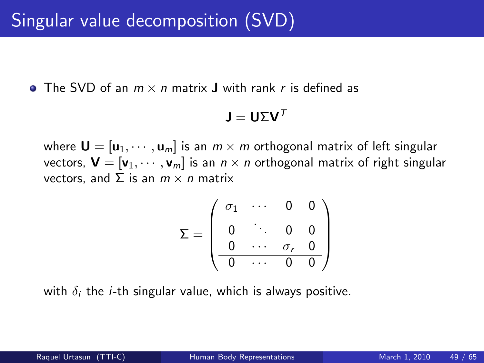• The SVD of an  $m \times n$  matrix **J** with rank r is defined as

$$
\textbf{J} = \textbf{U} \Sigma \textbf{V}^{\mathsf{T}}
$$

where  $\mathbf{U} = [\mathbf{u}_1, \cdots, \mathbf{u}_m]$  is an  $m \times m$  orthogonal matrix of left singular vectors,  $\mathbf{V} = [\mathbf{v}_1, \cdots, \mathbf{v}_m]$  is an  $n \times n$  orthogonal matrix of right singular vectors, and  $\Sigma$  is an  $m \times n$  matrix

$$
\Sigma = \left(\begin{array}{cccc|c} \sigma_1 & \cdots & 0 & 0 \\ 0 & \ddots & 0 & 0 \\ 0 & \cdots & \sigma_r & 0 \\ \hline 0 & \cdots & 0 & 0 \end{array}\right)
$$

with  $\delta_i$  the *i*-th singular value, which is always positive.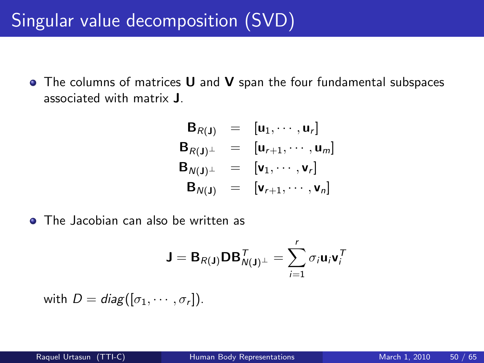• The columns of matrices **U** and **V** span the four fundamental subspaces associated with matrix J.

$$
B_{R(J)} = [u_1, \cdots, u_r]
$$
  
\n
$$
B_{R(J)^{\perp}} = [u_{r+1}, \cdots, u_m]
$$
  
\n
$$
B_{N(J)^{\perp}} = [v_1, \cdots, v_r]
$$
  
\n
$$
B_{N(J)} = [v_{r+1}, \cdots, v_n]
$$

• The Jacobian can also be written as

$$
\mathbf{J} = \mathbf{B}_{R(\mathbf{J})} \mathbf{D} \mathbf{B}_{N(\mathbf{J})^{\perp}}^{T} = \sum_{i=1}^{r} \sigma_i \mathbf{u}_i \mathbf{v}_i^{T}
$$

with  $D = diag([\sigma_1, \cdots, \sigma_r]).$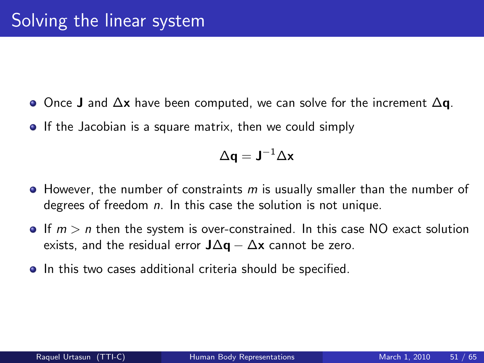- $\bullet$  Once J and  $\Delta x$  have been computed, we can solve for the increment  $\Delta q$ .
- **If the Jacobian is a square matrix, then we could simply**

$$
\Delta \mathbf{q} = \mathbf{J}^{-1} \Delta \mathbf{x}
$$

- $\bullet$  However, the number of constraints m is usually smaller than the number of degrees of freedom  $n$ . In this case the solution is not unique.
- If  $m > n$  then the system is over-constrained. In this case NO exact solution exists, and the residual error  $J\Delta q - \Delta x$  cannot be zero.
- **•** In this two cases additional criteria should be specified.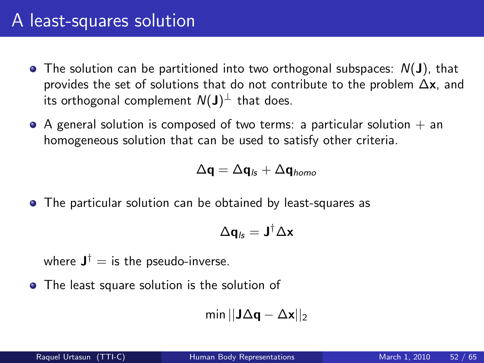- $\bullet$  The solution can be partitioned into two orthogonal subspaces:  $N(\mathbf{J})$ , that provides the set of solutions that do not contribute to the problem  $\Delta x$ , and its orthogonal complement  $\mathcal{N}(\mathsf{J})^{\perp}$  that does.
- $\bullet$  A general solution is composed of two terms: a particular solution  $+$  an homogeneous solution that can be used to satisfy other criteria.

$$
\Delta \mathbf{q} = \Delta \mathbf{q}_{\text{ls}} + \Delta \mathbf{q}_{\text{homo}}
$$

The particular solution can be obtained by least-squares as

$$
\Delta \mathbf{q}_{\mathit{ls}} = \mathbf{J}^{\dagger} \Delta \mathbf{x}
$$

where  $\mathbf{J}^{\dagger}=\text{is the pseudo-inverse}.$ 

• The least square solution is the solution of

$$
\text{min} \, ||\textbf{J}\Delta\textbf{q} - \Delta\textbf{x}||_2
$$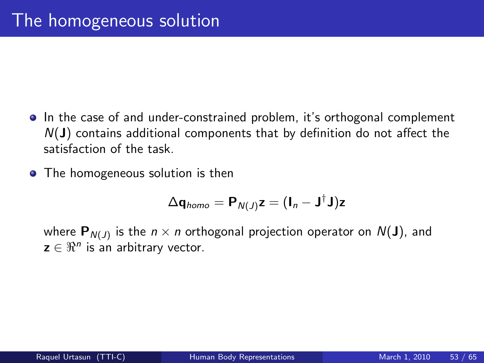- In the case of and under-constrained problem, it's orthogonal complement  $N(J)$  contains additional components that by definition do not affect the satisfaction of the task.
- The homogeneous solution is then

$$
\Delta \mathbf{q}_{homo} = \mathbf{P}_{N(J)} \mathbf{z} = (\mathbf{I}_n - \mathbf{J}^{\dagger} \mathbf{J}) \mathbf{z}
$$

where  $\mathbf{P}_{N(J)}$  is the  $n\times n$  orthogonal projection operator on  $N(\mathbf{J}),$  and  $z \in \Re^n$  is an arbitrary vector.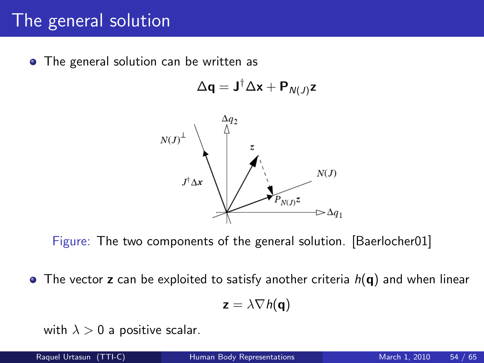## The general solution

• The general solution can be written as

$$
\Delta \mathbf{q} = \mathbf{J}^{\dagger} \Delta \mathbf{x} + \mathbf{P}_{N(J)} \mathbf{z}
$$



Figure: The two components of the general solution. [Baerlocher01]

• The vector z can be exploited to satisfy another criteria  $h(\mathbf{q})$  and when linear

$$
\mathbf{z} = \lambda \nabla h(\mathbf{q})
$$

with  $\lambda > 0$  a positive scalar.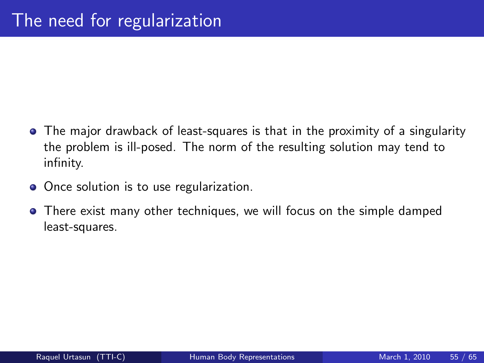- The major drawback of least-squares is that in the proximity of a singularity the problem is ill-posed. The norm of the resulting solution may tend to infinity.
- Once solution is to use regularization.
- There exist many other techniques, we will focus on the simple damped least-squares.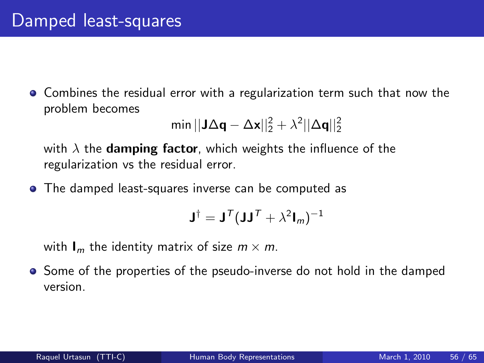• Combines the residual error with a regularization term such that now the problem becomes

$$
\text{min} \, ||\textbf{J}\Delta\textbf{q} - \Delta\textbf{x}||_2^2 + \lambda^2 ||\Delta\textbf{q}||_2^2
$$

with  $\lambda$  the **damping factor**, which weights the influence of the regularization vs the residual error.

The damped least-squares inverse can be computed as

$$
\mathbf{J}^{\dagger}=\mathbf{J}^{\mathcal{T}}(\mathbf{J}\mathbf{J}^{\mathcal{T}}+\lambda^2\mathbf{I}_m)^{-1}
$$

with  $I_m$  the identity matrix of size  $m \times m$ .

• Some of the properties of the pseudo-inverse do not hold in the damped version.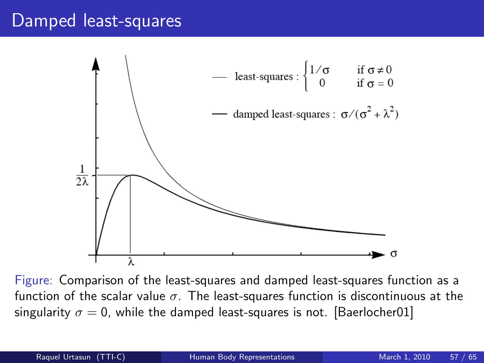#### Damped least-squares



Figure: Comparison of the least-squares and damped least-squares function as a function of the scalar value  $\sigma$ . The least-squares function is discontinuous at the singularity  $\sigma = 0$ , while the damped least-squares is not. [Baerlocher01]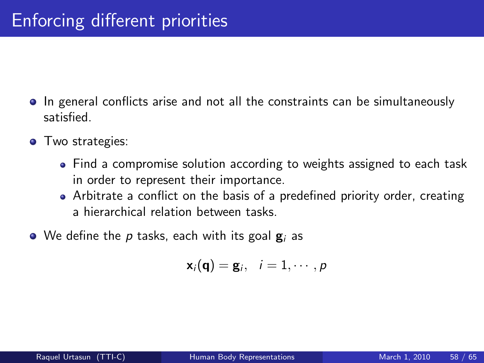- **In general conflicts arise and not all the constraints can be simultaneously** satisfied.
- **•** Two strategies:
	- Find a compromise solution according to weights assigned to each task in order to represent their importance.
	- Arbitrate a conflict on the basis of a predefined priority order, creating a hierarchical relation between tasks.
- $\bullet$  We define the p tasks, each with its goal  $g_i$  as

$$
\mathbf{x}_i(\mathbf{q}) = \mathbf{g}_i, \quad i = 1, \cdots, p
$$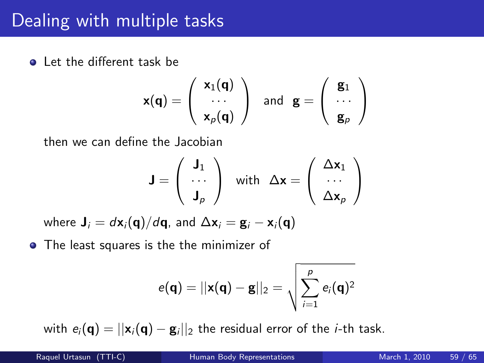## Dealing with multiple tasks

**Q** Let the different task be

$$
\mathbf{x}(\mathbf{q}) = \left(\begin{array}{c} \mathbf{x}_1(\mathbf{q}) \\ \cdots \\ \mathbf{x}_p(\mathbf{q}) \end{array}\right) \quad \text{and} \quad \mathbf{g} = \left(\begin{array}{c} \mathbf{g}_1 \\ \cdots \\ \mathbf{g}_p \end{array}\right)
$$

then we can define the Jacobian

$$
\mathbf{J} = \left( \begin{array}{c} \mathbf{J}_1 \\ \cdots \\ \mathbf{J}_p \end{array} \right) \quad \text{with} \quad \Delta \mathbf{x} = \left( \begin{array}{c} \Delta \mathbf{x}_1 \\ \cdots \\ \Delta \mathbf{x}_p \end{array} \right)
$$

where  $\mathbf{J}_i = d\mathbf{x}_i(\mathbf{q})/d\mathbf{q}$ , and  $\Delta \mathbf{x}_i = \mathbf{g}_i - \mathbf{x}_i(\mathbf{q})$ 

• The least squares is the the minimizer of

$$
e(\mathbf{q})=||\mathbf{x}(\mathbf{q})-\mathbf{g}||_2=\sqrt{\sum_{i=1}^pe_i(\mathbf{q})^2}
$$

with  $e_i(\mathbf{q}) = ||\mathbf{x}_i(\mathbf{q}) - \mathbf{g}_i||_2$  the residual error of the *i*-th task.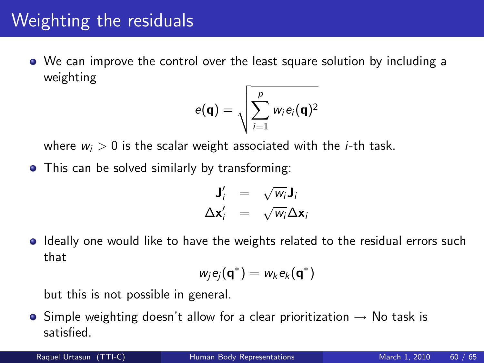# Weighting the residuals

We can improve the control over the least square solution by including a weighting

$$
e(\mathbf{q}) = \sqrt{\sum_{i=1}^{p} w_i e_i(\mathbf{q})^2}
$$

where  $w_i > 0$  is the scalar weight associated with the *i*-th task.

• This can be solved similarly by transforming:

$$
\begin{array}{rcl}\n\mathbf{J}'_i &=& \sqrt{w_i} \mathbf{J}_i \\
\Delta \mathbf{x}'_i &=& \sqrt{w_i} \Delta \mathbf{x}_i\n\end{array}
$$

**I** Ideally one would like to have the weights related to the residual errors such that

$$
w_j e_j(\mathbf{q}^*) = w_k e_k(\mathbf{q}^*)
$$

but this is not possible in general.

 $\bullet$  Simple weighting doesn't allow for a clear prioritization  $\rightarrow$  No task is satisfied.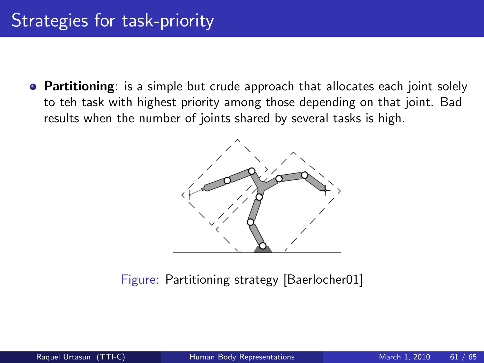• Partitioning: is a simple but crude approach that allocates each joint solely to teh task with highest priority among those depending on that joint. Bad results when the number of joints shared by several tasks is high.



Figure: Partitioning strategy [Baerlocher01]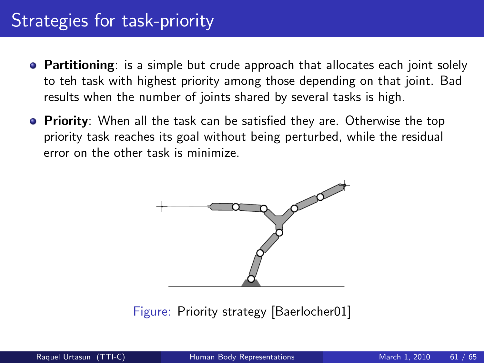## Strategies for task-priority

- Partitioning: is a simple but crude approach that allocates each joint solely to teh task with highest priority among those depending on that joint. Bad results when the number of joints shared by several tasks is high.
- **Priority**: When all the task can be satisfied they are. Otherwise the top priority task reaches its goal without being perturbed, while the residual error on the other task is minimize.



Figure: Priority strategy [Baerlocher01]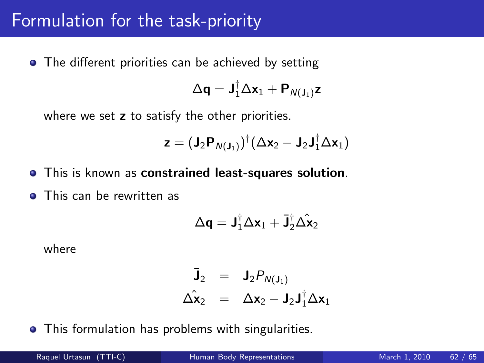#### Formulation for the task-priority

• The different priorities can be achieved by setting

$$
\Delta \mathbf{q} = \mathbf{J}_1^{\dagger} \Delta \mathbf{x}_1 + \mathbf{P}_{N(\mathbf{J}_1)} \mathbf{z}
$$

where we set z to satisfy the other priorities.

$$
\textbf{z}=(\textbf{J}_2\textbf{P}_{N(\textbf{J}_1)})^\dagger(\Delta\textbf{x}_2-\textbf{J}_2\textbf{J}_1^\dagger\Delta\textbf{x}_1)
$$

- This is known as constrained least-squares solution.
- **•** This can be rewritten as

$$
\Delta \mathbf{q} = \mathbf{J}_1^{\dagger} \Delta \mathbf{x}_1 + \mathbf{\bar{J}}_2^{\dagger} \hat{\Delta \mathbf{x}}_2
$$

where

$$
\begin{array}{rcl}\n\bar{\mathbf{J}}_2 &=& \mathbf{J}_2 P_{N(\mathbf{J}_1)} \\
\Delta \hat{\mathbf{x}}_2 &=& \Delta \mathbf{x}_2 - \mathbf{J}_2 \mathbf{J}_1^{\dagger} \Delta \mathbf{x}_1\n\end{array}
$$

• This formulation has problems with singularities.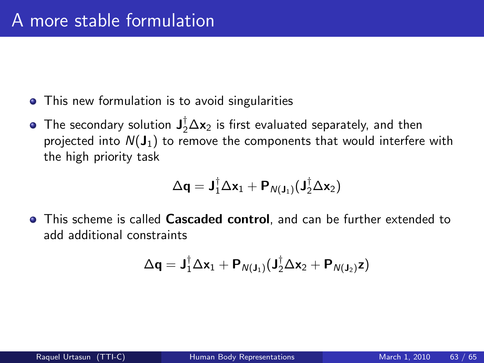- This new formulation is to avoid singularities
- The secondary solution  $\mathbf{J}_2^{\dagger} \Delta \mathbf{x}_2$  is first evaluated separately, and then projected into  $N(J_1)$  to remove the components that would interfere with the high priority task

$$
\Delta \textbf{q} = \textbf{J}_1^{\dagger} \Delta \textbf{x}_1 + \textbf{P}_{\text{N}(\textbf{J}_1)}(\textbf{J}_2^{\dagger} \Delta \textbf{x}_2)
$$

• This scheme is called Cascaded control, and can be further extended to add additional constraints

$$
\Delta \mathbf{q} = \mathbf{J}_1^{\dagger} \Delta \mathbf{x}_1 + \mathbf{P}_{N(\mathbf{J}_1)} (\mathbf{J}_2^{\dagger} \Delta \mathbf{x}_2 + \mathbf{P}_{N(\mathbf{J}_2)} \mathbf{z})
$$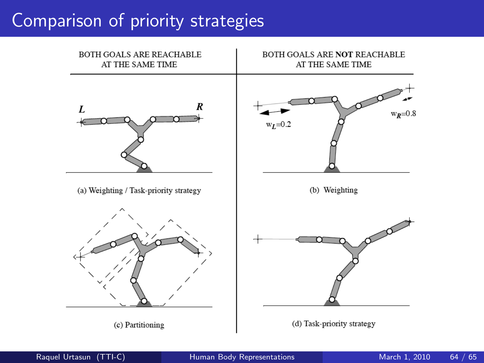# Comparison of priority strategies